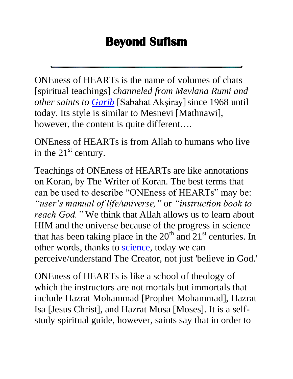## **Beyond Sufism**

ONEness of HEARTs is the name of volumes of chats [spiritual teachings] *channeled from Mevlana Rumi and other saints to [Garib](http://www.autism-tr.org/joomla/index.php?option=com_content&task=view&id=2&Itemid=1)* [Sabahat Akşiray]since 1968 until today. Its style is similar to Mesnevi [Mathnawi], however, the content is quite different....

ONEness of HEARTs is from Allah to humans who live in the  $21<sup>st</sup>$  century.

Teachings of ONEness of HEARTs are like annotations on Koran, by The Writer of Koran. The best terms that can be used to describe "ONEness of HEARTs" may be: *"user's manual of life/universe,"* or *"instruction book to reach God."* We think that Allah allows us to learn about HIM and the universe because of the progress in science that has been taking place in the  $20<sup>th</sup>$  and  $21<sup>st</sup>$  centuries. In other words, thanks to [science,](http://www.beyondsufism.net/FAQ/DarkEnergy.htm) today we can perceive/understand The Creator, not just 'believe in God.'

ONEness of HEARTs is like a school of theology of which the instructors are not mortals but immortals that include Hazrat Mohammad [Prophet Mohammad], Hazrat Isa [Jesus Christ], and Hazrat Musa [Moses]. It is a selfstudy spiritual guide, however, saints say that in order to